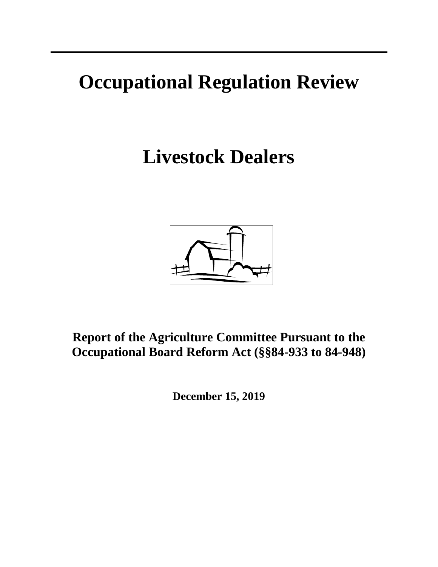## **Occupational Regulation Review**

# **Livestock Dealers**



**Report of the Agriculture Committee Pursuant to the Occupational Board Reform Act (§§84-933 to 84-948)** 

**December 15, 2019**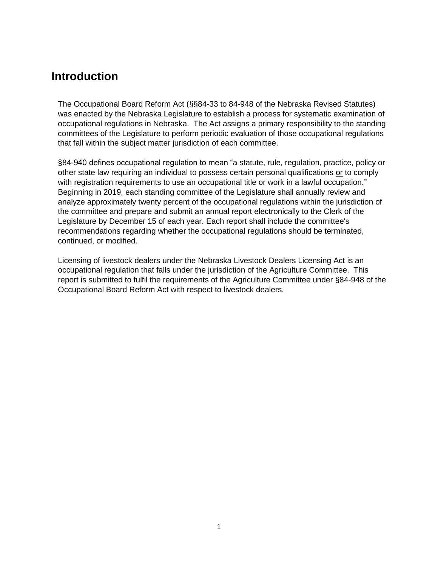## **Introduction**

The Occupational Board Reform Act (§§84-33 to 84-948 of the Nebraska Revised Statutes) was enacted by the Nebraska Legislature to establish a process for systematic examination of occupational regulations in Nebraska. The Act assigns a primary responsibility to the standing committees of the Legislature to perform periodic evaluation of those occupational regulations that fall within the subject matter jurisdiction of each committee.

§84-940 defines occupational regulation to mean "a statute, rule, regulation, practice, policy or other state law requiring an individual to possess certain personal qualifications or to comply with registration requirements to use an occupational title or work in a lawful occupation." Beginning in 2019, each standing committee of the Legislature shall annually review and analyze approximately twenty percent of the occupational regulations within the jurisdiction of the committee and prepare and submit an annual report electronically to the Clerk of the Legislature by December 15 of each year. Each report shall include the committee's recommendations regarding whether the occupational regulations should be terminated, continued, or modified.

Licensing of livestock dealers under the Nebraska Livestock Dealers Licensing Act is an occupational regulation that falls under the jurisdiction of the Agriculture Committee. This report is submitted to fulfil the requirements of the Agriculture Committee under §84-948 of the Occupational Board Reform Act with respect to livestock dealers.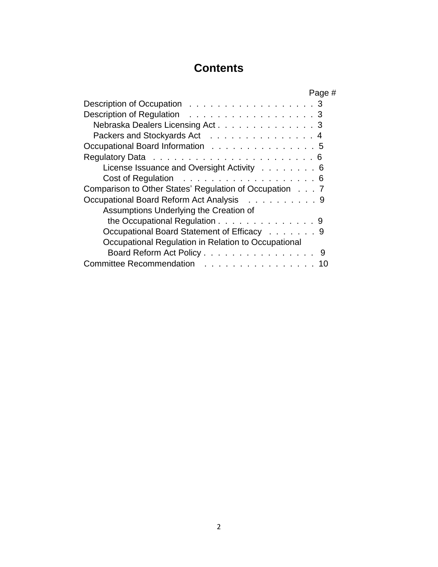## **Contents**

| Page #                                                 |
|--------------------------------------------------------|
| Description of Occupation 3                            |
| Description of Regulation 3                            |
| Nebraska Dealers Licensing Act. 3                      |
| Packers and Stockyards Act 4                           |
| Occupational Board Information 5                       |
|                                                        |
| License Issuance and Oversight Activity 6              |
|                                                        |
| Comparison to Other States' Regulation of Occupation 7 |
| Occupational Board Reform Act Analysis 9               |
| Assumptions Underlying the Creation of                 |
| the Occupational Regulation 9                          |
| Occupational Board Statement of Efficacy 9             |
| Occupational Regulation in Relation to Occupational    |
| Board Reform Act Policy 9                              |
| Committee Recommendation 10                            |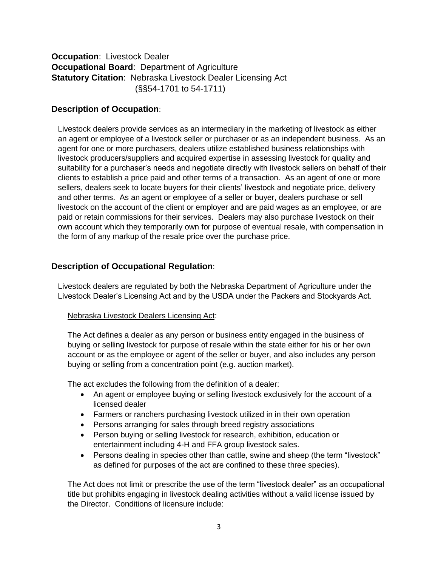#### **Occupation**: Livestock Dealer **Occupational Board: Department of Agriculture Statutory Citation**: Nebraska Livestock Dealer Licensing Act (§§54-1701 to 54-1711)

#### **Description of Occupation**:

Livestock dealers provide services as an intermediary in the marketing of livestock as either an agent or employee of a livestock seller or purchaser or as an independent business. As an agent for one or more purchasers, dealers utilize established business relationships with livestock producers/suppliers and acquired expertise in assessing livestock for quality and suitability for a purchaser's needs and negotiate directly with livestock sellers on behalf of their clients to establish a price paid and other terms of a transaction. As an agent of one or more sellers, dealers seek to locate buyers for their clients' livestock and negotiate price, delivery and other terms. As an agent or employee of a seller or buyer, dealers purchase or sell livestock on the account of the client or employer and are paid wages as an employee, or are paid or retain commissions for their services. Dealers may also purchase livestock on their own account which they temporarily own for purpose of eventual resale, with compensation in the form of any markup of the resale price over the purchase price.

#### **Description of Occupational Regulation**:

Livestock dealers are regulated by both the Nebraska Department of Agriculture under the Livestock Dealer's Licensing Act and by the USDA under the Packers and Stockyards Act.

#### Nebraska Livestock Dealers Licensing Act:

The Act defines a dealer as any person or business entity engaged in the business of buying or selling livestock for purpose of resale within the state either for his or her own account or as the employee or agent of the seller or buyer, and also includes any person buying or selling from a concentration point (e.g. auction market).

The act excludes the following from the definition of a dealer:

- An agent or employee buying or selling livestock exclusively for the account of a licensed dealer
- Farmers or ranchers purchasing livestock utilized in in their own operation
- Persons arranging for sales through breed registry associations
- Person buying or selling livestock for research, exhibition, education or entertainment including 4-H and FFA group livestock sales.
- Persons dealing in species other than cattle, swine and sheep (the term "livestock" as defined for purposes of the act are confined to these three species).

The Act does not limit or prescribe the use of the term "livestock dealer" as an occupational title but prohibits engaging in livestock dealing activities without a valid license issued by the Director. Conditions of licensure include: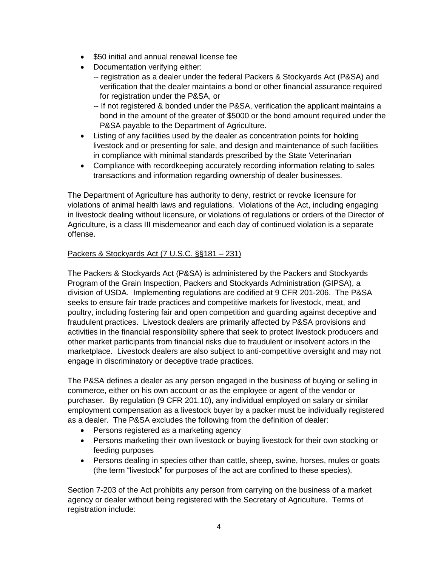- \$50 initial and annual renewal license fee
- Documentation verifying either:
	- -- registration as a dealer under the federal Packers & Stockyards Act (P&SA) and verification that the dealer maintains a bond or other financial assurance required for registration under the P&SA, or
	- -- If not registered & bonded under the P&SA, verification the applicant maintains a bond in the amount of the greater of \$5000 or the bond amount required under the P&SA payable to the Department of Agriculture.
- Listing of any facilities used by the dealer as concentration points for holding livestock and or presenting for sale, and design and maintenance of such facilities in compliance with minimal standards prescribed by the State Veterinarian
- Compliance with recordkeeping accurately recording information relating to sales transactions and information regarding ownership of dealer businesses.

The Department of Agriculture has authority to deny, restrict or revoke licensure for violations of animal health laws and regulations. Violations of the Act, including engaging in livestock dealing without licensure, or violations of regulations or orders of the Director of Agriculture, is a class III misdemeanor and each day of continued violation is a separate offense.

#### Packers & Stockyards Act (7 U.S.C. §§181 – 231)

The Packers & Stockyards Act (P&SA) is administered by the Packers and Stockyards Program of the Grain Inspection, Packers and Stockyards Administration (GIPSA), a division of USDA. Implementing regulations are codified at 9 CFR 201-206. The P&SA seeks to ensure fair trade practices and competitive markets for livestock, meat, and poultry, including fostering fair and open competition and guarding against deceptive and fraudulent practices. Livestock dealers are primarily affected by P&SA provisions and activities in the financial responsibility sphere that seek to protect livestock producers and other market participants from financial risks due to fraudulent or insolvent actors in the marketplace. Livestock dealers are also subject to anti-competitive oversight and may not engage in discriminatory or deceptive trade practices.

The P&SA defines a dealer as any person engaged in the business of buying or selling in commerce, either on his own account or as the employee or agent of the vendor or purchaser. By regulation (9 CFR 201.10), any individual employed on salary or similar employment compensation as a livestock buyer by a packer must be individually registered as a dealer. The P&SA excludes the following from the definition of dealer:

- Persons registered as a marketing agency
- Persons marketing their own livestock or buying livestock for their own stocking or feeding purposes
- Persons dealing in species other than cattle, sheep, swine, horses, mules or goats (the term "livestock" for purposes of the act are confined to these species).

Section 7-203 of the Act prohibits any person from carrying on the business of a market agency or dealer without being registered with the Secretary of Agriculture. Terms of registration include: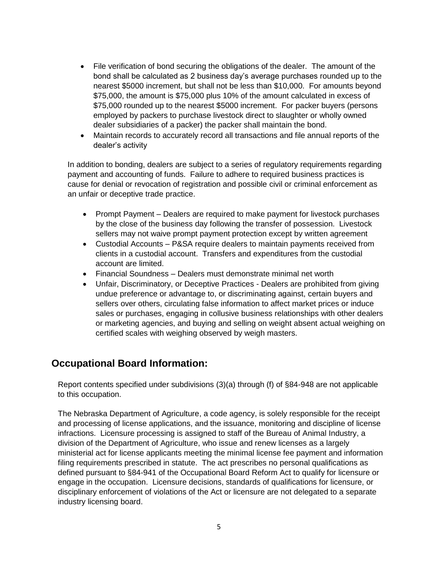- File verification of bond securing the obligations of the dealer. The amount of the bond shall be calculated as 2 business day's average purchases rounded up to the nearest \$5000 increment, but shall not be less than \$10,000. For amounts beyond \$75,000, the amount is \$75,000 plus 10% of the amount calculated in excess of \$75,000 rounded up to the nearest \$5000 increment. For packer buyers (persons employed by packers to purchase livestock direct to slaughter or wholly owned dealer subsidiaries of a packer) the packer shall maintain the bond.
- Maintain records to accurately record all transactions and file annual reports of the dealer's activity

In addition to bonding, dealers are subject to a series of regulatory requirements regarding payment and accounting of funds. Failure to adhere to required business practices is cause for denial or revocation of registration and possible civil or criminal enforcement as an unfair or deceptive trade practice.

- Prompt Payment Dealers are required to make payment for livestock purchases by the close of the business day following the transfer of possession. Livestock sellers may not waive prompt payment protection except by written agreement
- Custodial Accounts P&SA require dealers to maintain payments received from clients in a custodial account. Transfers and expenditures from the custodial account are limited.
- Financial Soundness Dealers must demonstrate minimal net worth
- Unfair, Discriminatory, or Deceptive Practices Dealers are prohibited from giving undue preference or advantage to, or discriminating against, certain buyers and sellers over others, circulating false information to affect market prices or induce sales or purchases, engaging in collusive business relationships with other dealers or marketing agencies, and buying and selling on weight absent actual weighing on certified scales with weighing observed by weigh masters.

## **Occupational Board Information:**

Report contents specified under subdivisions (3)(a) through (f) of §84-948 are not applicable to this occupation.

The Nebraska Department of Agriculture, a code agency, is solely responsible for the receipt and processing of license applications, and the issuance, monitoring and discipline of license infractions. Licensure processing is assigned to staff of the Bureau of Animal Industry, a division of the Department of Agriculture, who issue and renew licenses as a largely ministerial act for license applicants meeting the minimal license fee payment and information filing requirements prescribed in statute. The act prescribes no personal qualifications as defined pursuant to §84-941 of the Occupational Board Reform Act to qualify for licensure or engage in the occupation. Licensure decisions, standards of qualifications for licensure, or disciplinary enforcement of violations of the Act or licensure are not delegated to a separate industry licensing board.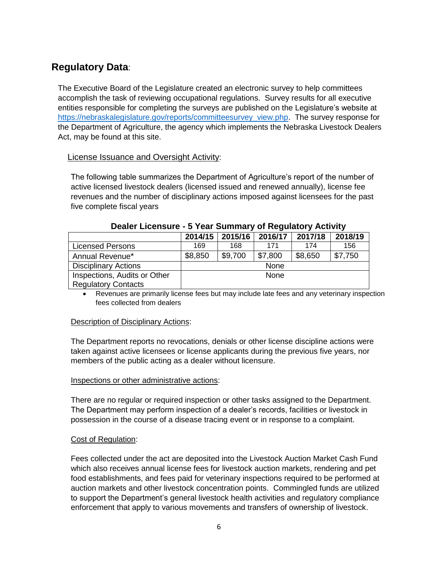## **Regulatory Data**:

The Executive Board of the Legislature created an electronic survey to help committees accomplish the task of reviewing occupational regulations. Survey results for all executive entities responsible for completing the surveys are published on the Legislature's website at [https://nebraskalegislature.gov/reports/committeesurvey\\_view.php.](https://nebraskalegislature.gov/reports/committeesurvey_view.php) The survey response for the Department of Agriculture, the agency which implements the Nebraska Livestock Dealers Act, may be found at this site.

#### License Issuance and Oversight Activity:

The following table summarizes the Department of Agriculture's report of the number of active licensed livestock dealers (licensed issued and renewed annually), license fee revenues and the number of disciplinary actions imposed against licensees for the past five complete fiscal years

|                              | 2014/15     | 2015/16 | 2016/17 | 2017/18 | 2018/19 |  |
|------------------------------|-------------|---------|---------|---------|---------|--|
| <b>Licensed Persons</b>      | 169         | 168     | 171     | 174     | 156     |  |
| Annual Revenue*              | \$8,850     | \$9,700 | \$7,800 | \$8,650 | \$7,750 |  |
| <b>Disciplinary Actions</b>  | None        |         |         |         |         |  |
| Inspections, Audits or Other | <b>None</b> |         |         |         |         |  |
| <b>Regulatory Contacts</b>   |             |         |         |         |         |  |

#### **Dealer Licensure - 5 Year Summary of Regulatory Activity**

 Revenues are primarily license fees but may include late fees and any veterinary inspection fees collected from dealers

#### Description of Disciplinary Actions:

The Department reports no revocations, denials or other license discipline actions were taken against active licensees or license applicants during the previous five years, nor members of the public acting as a dealer without licensure.

#### Inspections or other administrative actions:

There are no regular or required inspection or other tasks assigned to the Department. The Department may perform inspection of a dealer's records, facilities or livestock in possession in the course of a disease tracing event or in response to a complaint.

#### Cost of Regulation:

Fees collected under the act are deposited into the Livestock Auction Market Cash Fund which also receives annual license fees for livestock auction markets, rendering and pet food establishments, and fees paid for veterinary inspections required to be performed at auction markets and other livestock concentration points. Commingled funds are utilized to support the Department's general livestock health activities and regulatory compliance enforcement that apply to various movements and transfers of ownership of livestock.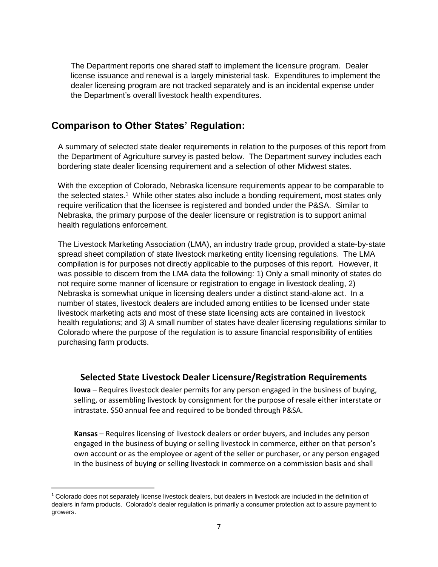The Department reports one shared staff to implement the licensure program. Dealer license issuance and renewal is a largely ministerial task. Expenditures to implement the dealer licensing program are not tracked separately and is an incidental expense under the Department's overall livestock health expenditures.

### **Comparison to Other States' Regulation:**

A summary of selected state dealer requirements in relation to the purposes of this report from the Department of Agriculture survey is pasted below. The Department survey includes each bordering state dealer licensing requirement and a selection of other Midwest states.

With the exception of Colorado, Nebraska licensure requirements appear to be comparable to the selected states.<sup>1</sup> While other states also include a bonding requirement, most states only require verification that the licensee is registered and bonded under the P&SA. Similar to Nebraska, the primary purpose of the dealer licensure or registration is to support animal health regulations enforcement.

The Livestock Marketing Association (LMA), an industry trade group, provided a state-by-state spread sheet compilation of state livestock marketing entity licensing regulations. The LMA compilation is for purposes not directly applicable to the purposes of this report. However, it was possible to discern from the LMA data the following: 1) Only a small minority of states do not require some manner of licensure or registration to engage in livestock dealing, 2) Nebraska is somewhat unique in licensing dealers under a distinct stand-alone act. In a number of states, livestock dealers are included among entities to be licensed under state livestock marketing acts and most of these state licensing acts are contained in livestock health regulations; and 3) A small number of states have dealer licensing regulations similar to Colorado where the purpose of the regulation is to assure financial responsibility of entities purchasing farm products.

#### **Selected State Livestock Dealer Licensure/Registration Requirements**

**Iowa** – Requires livestock dealer permits for any person engaged in the business of buying, selling, or assembling livestock by consignment for the purpose of resale either interstate or intrastate. \$50 annual fee and required to be bonded through P&SA.

**Kansas** – Requires licensing of livestock dealers or order buyers, and includes any person engaged in the business of buying or selling livestock in commerce, either on that person's own account or as the employee or agent of the seller or purchaser, or any person engaged in the business of buying or selling livestock in commerce on a commission basis and shall

 $\overline{\phantom{a}}$ 

<sup>1</sup> Colorado does not separately license livestock dealers, but dealers in livestock are included in the definition of dealers in farm products. Colorado's dealer regulation is primarily a consumer protection act to assure payment to growers.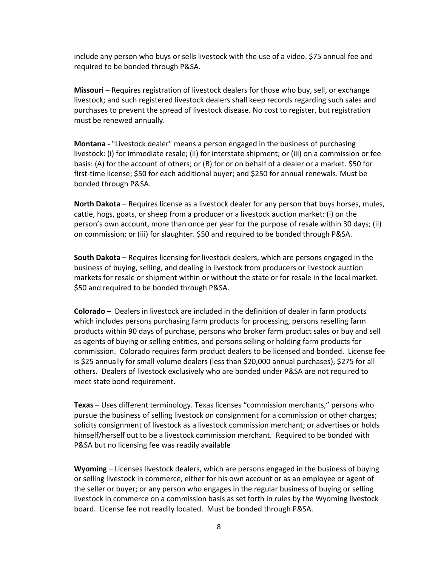include any person who buys or sells livestock with the use of a video. \$75 annual fee and required to be bonded through P&SA.

**Missouri** – Requires registration of livestock dealers for those who buy, sell, or exchange livestock; and such registered livestock dealers shall keep records regarding such sales and purchases to prevent the spread of livestock disease. No cost to register, but registration must be renewed annually.

**Montana -** "Livestock dealer" means a person engaged in the business of purchasing livestock: (i) for immediate resale; (ii) for interstate shipment; or (iii) on a commission or fee basis: (A) for the account of others; or (B) for or on behalf of a dealer or a market. \$50 for first-time license; \$50 for each additional buyer; and \$250 for annual renewals. Must be bonded through P&SA.

**North Dakota** – Requires license as a livestock dealer for any person that buys horses, mules, cattle, hogs, goats, or sheep from a producer or a livestock auction market: (i) on the person's own account, more than once per year for the purpose of resale within 30 days; (ii) on commission; or (iii) for slaughter. \$50 and required to be bonded through P&SA.

**South Dakota** – Requires licensing for livestock dealers, which are persons engaged in the business of buying, selling, and dealing in livestock from producers or livestock auction markets for resale or shipment within or without the state or for resale in the local market. \$50 and required to be bonded through P&SA.

**Colorado –** Dealers in livestock are included in the definition of dealer in farm products which includes persons purchasing farm products for processing, persons reselling farm products within 90 days of purchase, persons who broker farm product sales or buy and sell as agents of buying or selling entities, and persons selling or holding farm products for commission. Colorado requires farm product dealers to be licensed and bonded. License fee is \$25 annually for small volume dealers (less than \$20,000 annual purchases), \$275 for all others. Dealers of livestock exclusively who are bonded under P&SA are not required to meet state bond requirement.

**Texas** – Uses different terminology. Texas licenses "commission merchants," persons who pursue the business of selling livestock on consignment for a commission or other charges; solicits consignment of livestock as a livestock commission merchant; or advertises or holds himself/herself out to be a livestock commission merchant. Required to be bonded with P&SA but no licensing fee was readily available

**Wyoming** – Licenses livestock dealers, which are persons engaged in the business of buying or selling livestock in commerce, either for his own account or as an employee or agent of the seller or buyer; or any person who engages in the regular business of buying or selling livestock in commerce on a commission basis as set forth in rules by the Wyoming livestock board. License fee not readily located. Must be bonded through P&SA.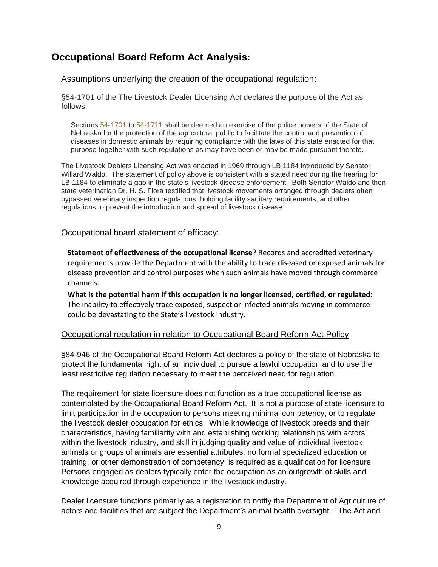## **Occupational Board Reform Act Analysis:**

#### Assumptions underlying the creation of the occupational regulation:

§54-1701 of the The Livestock Dealer Licensing Act declares the purpose of the Act as follows:

Sections [54-1701](https://nebraskalegislature.gov/laws/statutes.php?statute=54-1701) to [54-1711](https://nebraskalegislature.gov/laws/statutes.php?statute=54-1711) shall be deemed an exercise of the police powers of the State of Nebraska for the protection of the agricultural public to facilitate the control and prevention of diseases in domestic animals by requiring compliance with the laws of this state enacted for that purpose together with such regulations as may have been or may be made pursuant thereto.

The Livestock Dealers Licensing Act was enacted in 1969 through LB 1184 introduced by Senator Willard Waldo. The statement of policy above is consistent with a stated need during the hearing for LB 1184 to eliminate a gap in the state's livestock disease enforcement. Both Senator Waldo and then state veterinarian Dr. H. S. Flora testified that livestock movements arranged through dealers often bypassed veterinary inspection regulations, holding facility sanitary requirements, and other regulations to prevent the introduction and spread of livestock disease.

#### Occupational board statement of efficacy:

**Statement of effectiveness of the occupational license**? Records and accredited veterinary requirements provide the Department with the ability to trace diseased or exposed animals for disease prevention and control purposes when such animals have moved through commerce channels.

**What is the potential harm if this occupation is no longer licensed, certified, or regulated:**  The inability to effectively trace exposed, suspect or infected animals moving in commerce could be devastating to the State's livestock industry.

#### Occupational regulation in relation to Occupational Board Reform Act Policy

§84-946 of the Occupational Board Reform Act declares a policy of the state of Nebraska to protect the fundamental right of an individual to pursue a lawful occupation and to use the least restrictive regulation necessary to meet the perceived need for regulation.

The requirement for state licensure does not function as a true occupational license as contemplated by the Occupational Board Reform Act. It is not a purpose of state licensure to limit participation in the occupation to persons meeting minimal competency, or to regulate the livestock dealer occupation for ethics. While knowledge of livestock breeds and their characteristics, having familiarity with and establishing working relationships with actors within the livestock industry, and skill in judging quality and value of individual livestock animals or groups of animals are essential attributes, no formal specialized education or training, or other demonstration of competency, is required as a qualification for licensure. Persons engaged as dealers typically enter the occupation as an outgrowth of skills and knowledge acquired through experience in the livestock industry.

Dealer licensure functions primarily as a registration to notify the Department of Agriculture of actors and facilities that are subject the Department's animal health oversight. The Act and